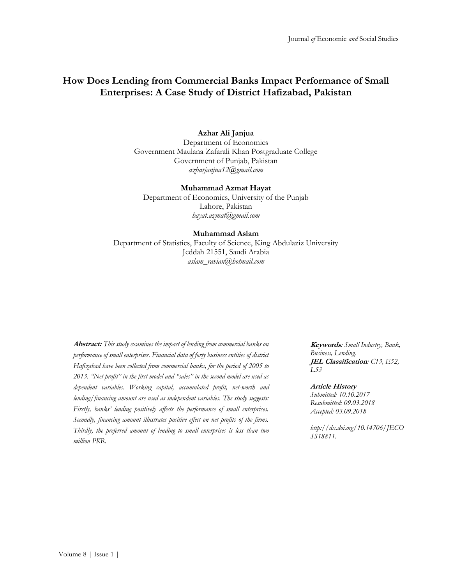# **How Does Lending from Commercial Banks Impact Performance of Small Enterprises: A Case Study of District Hafizabad, Pakistan**

### **Azhar Ali Janjua**

Department of Economics Government Maulana Zafarali Khan Postgraduate College Government of Punjab, Pakistan *[azharjanjua12@gmail.com](mailto:azharjanjua12@gmail.com)*

#### **Muhammad Azmat Hayat**

Department of Economics, University of the Punjab Lahore, Pakistan *[hayat.azmat@gmail.com](mailto:hayat.azmat@gmail.com)*

#### **Muhammad Aslam**

Department of Statistics, Faculty of Science, King Abdulaziz University Jeddah 21551, Saudi Arabia *[aslam\\_ravian@hotmail.com](mailto:aslam_ravian@hotmail.com)*

**Abstract:** *This study examines the impact of lending from commercial banks on performance of small enterprises. Financial data of forty business entities of district Hafizabad have been collected from commercial banks, for the period of 2005 to 2013. "Net profit" in the first model and "sales" in the second model are used as dependent variables. Working capital, accumulated profit, net-worth and lending/financing amount are used as independent variables. The study suggests: Firstly, banks' lending positively affects the performance of small enterprises. Secondly, financing amount illustrates positive effect on net profits of the firms. Thirdly, the preferred amount of lending to small enterprises is less than two million PKR.*

**Keywords***: Small Industry, Bank, Business, Lending.* **JEL Classification***: C13, E52, L53*

#### **Article History**

*Submitted: 10.10.2017 Resubmitted: 09.03.2018 Accepted: 03.09.2018*

*http://dx.doi.org/10.14706/JECO SS18811.*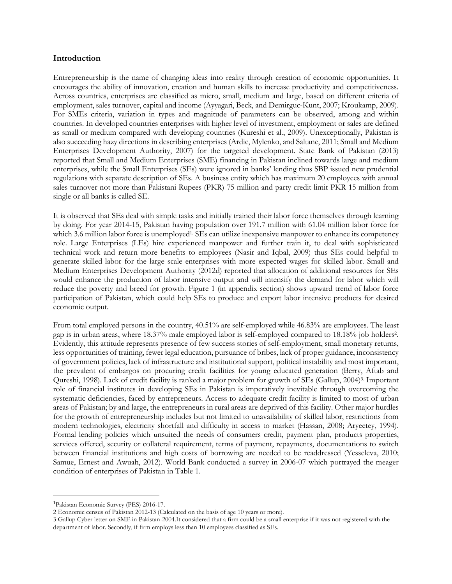#### **Introduction**

Entrepreneurship is the name of changing ideas into reality through creation of economic opportunities. It encourages the ability of innovation, creation and human skills to increase productivity and competitiveness. Across countries, enterprises are classified as micro, small, medium and large, based on different criteria of employment, sales turnover, capital and income (Ayyagari, Beck, and Demirguc-Kunt, 2007; Kroukamp, 2009). For SMEs criteria, variation in types and magnitude of parameters can be observed, among and within countries. In developed countries enterprises with higher level of investment, employment or sales are defined as small or medium compared with developing countries (Kureshi et al., 2009). Unexceptionally, Pakistan is also succeeding hazy directions in describing enterprises (Ardic, Mylenko, and Saltane, 2011; Small and Medium Enterprises Development Authority, 2007) for the targeted development. State Bank of Pakistan (2013) reported that Small and Medium Enterprises (SME) financing in Pakistan inclined towards large and medium enterprises, while the Small Enterprises (SEs) were ignored in banks' lending thus SBP issued new prudential regulations with separate description of SEs. A business entity which has maximum 20 employees with annual sales turnover not more than Pakistani Rupees (PKR) 75 million and party credit limit PKR 15 million from single or all banks is called SE.

It is observed that SEs deal with simple tasks and initially trained their labor force themselves through learning by doing. For year 2014-15, Pakistan having population over 191.7 million with 61.04 million labor force for which 3.6 million labor force is unemployed<sup>1.</sup> SEs can utilize inexpensive manpower to enhance its competency role. Large Enterprises (LEs) hire experienced manpower and further train it, to deal with sophisticated technical work and return more benefits to employees (Nasir and Iqbal, 2009) thus SEs could helpful to generate skilled labor for the large scale enterprises with more expected wages for skilled labor. Small and Medium Enterprises Development Authority (2012d) reported that allocation of additional resources for SEs would enhance the production of labor intensive output and will intensify the demand for labor which will reduce the poverty and breed for growth. Figure 1 (in appendix section) shows upward trend of labor force participation of Pakistan, which could help SEs to produce and export labor intensive products for desired economic output.

From total employed persons in the country, 40.51% are self-employed while 46.83% are employees. The least gap is in urban areas, where 18.37% male employed labor is self-employed compared to 18.18% job holders<sup>2</sup>. Evidently, this attitude represents presence of few success stories of self-employment, small monetary returns, less opportunities of training, fewer legal education, pursuance of bribes, lack of proper guidance, inconsistency of government policies, lack of infrastructure and institutional support, political instability and most important, the prevalent of embargos on procuring credit facilities for young educated generation (Berry, Aftab and Qureshi, 1998). Lack of credit facility is ranked a major problem for growth of SEs (Gallup, 2004)3. Important role of financial institutes in developing SEs in Pakistan is imperatively inevitable through overcoming the systematic deficiencies, faced by entrepreneurs. Access to adequate credit facility is limited to most of urban areas of Pakistan; by and large, the entrepreneurs in rural areas are deprived of this facility. Other major hurdles for the growth of entrepreneurship includes but not limited to unavailability of skilled labor, restrictions from modern technologies, electricity shortfall and difficulty in access to market (Hassan, 2008; Aryeetey, 1994). Formal lending policies which unsuited the needs of consumers credit, payment plan, products properties, services offered, security or collateral requirement, terms of payment, repayments, documentations to switch between financial institutions and high costs of borrowing are needed to be readdressed (Yesseleva, 2010; Samue, Ernest and Awuah, 2012). World Bank conducted a survey in 2006-07 which portrayed the meager condition of enterprises of Pakistan in Table 1.

<sup>1</sup>Pakistan Economic Survey (PES) 2016-17.

<sup>2</sup> Economic census of Pakistan 2012-13 (Calculated on the basis of age 10 years or more).

<sup>3</sup> Gallup Cyber letter on SME in Pakistan-2004.It considered that a firm could be a small enterprise if it was not registered with the department of labor. Secondly, if firm employs less than 10 employees classified as SEs.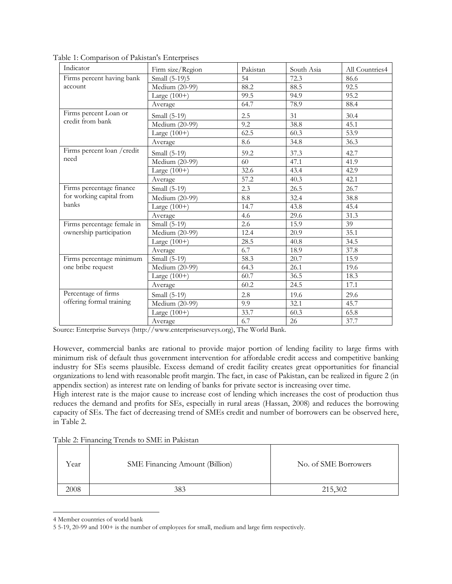| Indicator                   | Firm size/Region                   | Pakistan | South Asia | All Countries4 |
|-----------------------------|------------------------------------|----------|------------|----------------|
| Firms percent having bank   | Small (5-19)5                      | 54       | 72.3       | 86.6           |
| account                     | Medium (20-99)                     | 88.2     | 88.5       | 92.5           |
|                             | Large $(100+)$                     | 99.5     | 94.9       | 95.2           |
|                             | Average                            | 64.7     | 78.9       | 88.4           |
| Firms percent Loan or       | Small (5-19)                       | 2.5      | 31         | 30.4           |
| credit from bank            | Medium (20-99)                     | 9.2      | 38.8       | 45.1           |
|                             | Large $(100+)$                     | 62.5     | 60.3       | 53.9           |
|                             | Average                            | 8.6      | 34.8       | 36.3           |
| Firms percent loan / credit | Small (5-19)                       | 59.2     | 37.3       | 42.7           |
| need                        | Medium (20-99)                     | 60       | 47.1       | 41.9           |
|                             | Large $(100+)$                     | 32.6     | 43.4       | 42.9           |
|                             | Average                            | 57.2     | 40.3       | 42.1           |
| Firms percentage finance    | Small (5-19)                       | 2.3      | 26.5       | 26.7           |
| for working capital from    | Medium (20-99)                     | 8.8      | 32.4       | 38.8           |
| banks                       | Large $(100+)$                     | 14.7     | 43.8       | 45.4           |
|                             | Average                            | 4.6      | 29.6       | 31.3           |
| Firms percentage female in  | Small (5-19)                       | 2.6      | 15.9       | 39             |
| ownership participation     | Medium (20-99)                     | 12.4     | 20.9       | 35.1           |
|                             | Large $(100+)$                     | 28.5     | 40.8       | 34.5           |
|                             | Average                            | 6.7      | 18.9       | 37.8           |
| Firms percentage minimum    | Small (5-19)                       | 58.3     | 20.7       | 15.9           |
| one bribe request           | Medium (20-99)                     | 64.3     | 26.1       | 19.6           |
|                             | Large $(100+)$                     | 60.7     | 36.5       | 18.3           |
|                             | Average                            | 60.2     | 24.5       | 17.1           |
| Percentage of firms         | Small (5-19)                       | 2.8      | 19.6       | 29.6           |
| offering formal training    | $\overline{\text{Median}}$ (20-99) | 9.9      | 32.1       | 45.7           |
|                             | Large $(100+)$                     | 33.7     | 60.3       | 65.8           |
|                             | Average                            | 6.7      | 26         | 37.7           |

Table 1: Comparison of Pakistan's Enterprises

Source: Enterprise Surveys (http://www.enterprisesurveys.org), The World Bank.

However, commercial banks are rational to provide major portion of lending facility to large firms with minimum risk of default thus government intervention for affordable credit access and competitive banking industry for SEs seems plausible. Excess demand of credit facility creates great opportunities for financial organizations to lend with reasonable profit margin. The fact, in case of Pakistan, can be realized in figure 2 (in appendix section) as interest rate on lending of banks for private sector is increasing over time.

High interest rate is the major cause to increase cost of lending which increases the cost of production thus reduces the demand and profits for SEs, especially in rural areas (Hassan, 2008) and reduces the borrowing capacity of SEs. The fact of decreasing trend of SMEs credit and number of borrowers can be observed here, in Table 2.

|  | Table 2: Financing Trends to SME in Pakistan |  |  |  |
|--|----------------------------------------------|--|--|--|
|--|----------------------------------------------|--|--|--|

| Year | <b>SME Financing Amount (Billion)</b> | No. of SME Borrowers |
|------|---------------------------------------|----------------------|
| 2008 | 383                                   | 215,302              |

<sup>4</sup> Member countries of world bank

<sup>5</sup> 5-19, 20-99 and 100+ is the number of employees for small, medium and large firm respectively.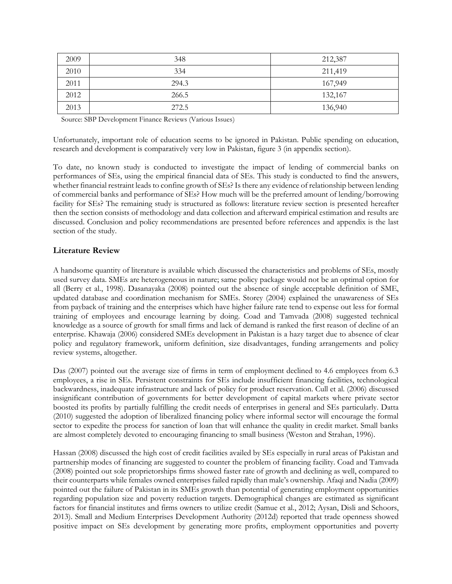| 2009 | 348   | 212,387 |
|------|-------|---------|
| 2010 | 334   | 211,419 |
| 2011 | 294.3 | 167,949 |
| 2012 | 266.5 | 132,167 |
| 2013 | 272.5 | 136,940 |

Source: SBP Development Finance Reviews (Various Issues)

Unfortunately, important role of education seems to be ignored in Pakistan. Public spending on education, research and development is comparatively very low in Pakistan, figure 3 (in appendix section).

To date, no known study is conducted to investigate the impact of lending of commercial banks on performances of SEs, using the empirical financial data of SEs. This study is conducted to find the answers, whether financial restraint leads to confine growth of SEs? Is there any evidence of relationship between lending of commercial banks and performance of SEs? How much will be the preferred amount of lending/borrowing facility for SEs? The remaining study is structured as follows: literature review section is presented hereafter then the section consists of methodology and data collection and afterward empirical estimation and results are discussed. Conclusion and policy recommendations are presented before references and appendix is the last section of the study.

### **Literature Review**

A handsome quantity of literature is available which discussed the characteristics and problems of SEs, mostly used survey data. SMEs are heterogeneous in nature; same policy package would not be an optimal option for all (Berry et al., 1998). Dasanayaka (2008) pointed out the absence of single acceptable definition of SME, updated database and coordination mechanism for SMEs. Storey (2004) explained the unawareness of SEs from payback of training and the enterprises which have higher failure rate tend to expense out less for formal training of employees and encourage learning by doing. Coad and Tamvada (2008) suggested technical knowledge as a source of growth for small firms and lack of demand is ranked the first reason of decline of an enterprise. Khawaja (2006) considered SMEs development in Pakistan is a hazy target due to absence of clear policy and regulatory framework, uniform definition, size disadvantages, funding arrangements and policy review systems, altogether.

Das (2007) pointed out the average size of firms in term of employment declined to 4.6 employees from 6.3 employees, a rise in SEs. Persistent constraints for SEs include insufficient financing facilities, technological backwardness, inadequate infrastructure and lack of policy for product reservation. Cull et al. (2006) discussed insignificant contribution of governments for better development of capital markets where private sector boosted its profits by partially fulfilling the credit needs of enterprises in general and SEs particularly. Datta (2010) suggested the adoption of liberalized financing policy where informal sector will encourage the formal sector to expedite the process for sanction of loan that will enhance the quality in credit market. Small banks are almost completely devoted to encouraging financing to small business (Weston and Strahan, 1996).

Hassan (2008) discussed the high cost of credit facilities availed by SEs especially in rural areas of Pakistan and partnership modes of financing are suggested to counter the problem of financing facility. Coad and Tamvada (2008) pointed out sole proprietorships firms showed faster rate of growth and declining as well, compared to their counterparts while females owned enterprises failed rapidly than male's ownership. Afaqi and Nadia (2009) pointed out the failure of Pakistan in its SMEs growth than potential of generating employment opportunities regarding population size and poverty reduction targets. Demographical changes are estimated as significant factors for financial institutes and firms owners to utilize credit (Samue et al., 2012; Aysan, Disli and Schoors, 2013). Small and Medium Enterprises Development Authority (2012d) reported that trade openness showed positive impact on SEs development by generating more profits, employment opportunities and poverty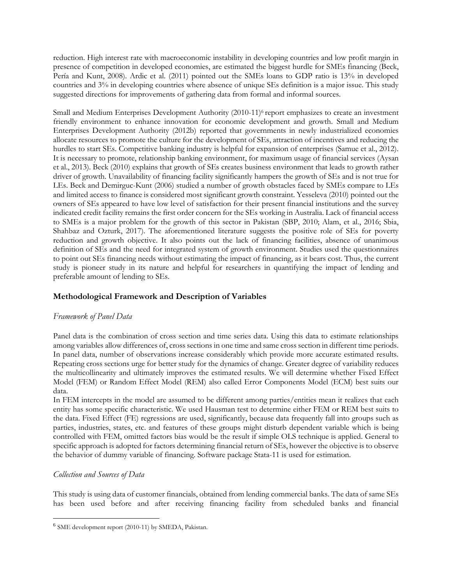reduction. High interest rate with macroeconomic instability in developing countries and low profit margin in presence of competition in developed economies, are estimated the biggest hurdle for SMEs financing (Beck, Pería and Kunt, 2008). Ardic et al. (2011) pointed out the SMEs loans to GDP ratio is 13% in developed countries and 3% in developing countries where absence of unique SEs definition is a major issue. This study suggested directions for improvements of gathering data from formal and informal sources.

Small and Medium Enterprises Development Authority (2010-11)<sup>6</sup> report emphasizes to create an investment friendly environment to enhance innovation for economic development and growth. Small and Medium Enterprises Development Authority (2012b) reported that governments in newly industrialized economies allocate resources to promote the culture for the development of SEs, attraction of incentives and reducing the hurdles to start SEs. Competitive banking industry is helpful for expansion of enterprises (Samue et al., 2012). It is necessary to promote, relationship banking environment, for maximum usage of financial services (Aysan et al., 2013). Beck (2010) explains that growth of SEs creates business environment that leads to growth rather driver of growth. Unavailability of financing facility significantly hampers the growth of SEs and is not true for LEs. Beck and Demirguc-Kunt (2006) studied a number of growth obstacles faced by SMEs compare to LEs and limited access to finance is considered most significant growth constraint. Yesseleva (2010) pointed out the owners of SEs appeared to have low level of satisfaction for their present financial institutions and the survey indicated credit facility remains the first order concern for the SEs working in Australia. Lack of financial access to SMEs is a major problem for the growth of this sector in Pakistan (SBP, 2010; Alam, et al., 2016; Sbia, Shahbaz and Ozturk, 2017). The aforementioned literature suggests the positive role of SEs for poverty reduction and growth objective. It also points out the lack of financing facilities, absence of unanimous definition of SEs and the need for integrated system of growth environment. Studies used the questionnaires to point out SEs financing needs without estimating the impact of financing, as it bears cost. Thus, the current study is pioneer study in its nature and helpful for researchers in quantifying the impact of lending and preferable amount of lending to SEs.

## **Methodological Framework and Description of Variables**

## *Framework of Panel Data*

Panel data is the combination of cross section and time series data. Using this data to estimate relationships among variables allow differences of, cross sections in one time and same cross section in different time periods. In panel data, number of observations increase considerably which provide more accurate estimated results. Repeating cross sections urge for better study for the dynamics of change. Greater degree of variability reduces the multicollinearity and ultimately improves the estimated results. We will determine whether Fixed Effect Model (FEM) or Random Effect Model (REM) also called Error Components Model (ECM) best suits our data.

In FEM intercepts in the model are assumed to be different among parties/entities mean it realizes that each entity has some specific characteristic. We used Hausman test to determine either FEM or REM best suits to the data. Fixed Effect (FE) regressions are used, significantly, because data frequently fall into groups such as parties, industries, states, etc. and features of these groups might disturb dependent variable which is being controlled with FEM, omitted factors bias would be the result if simple OLS technique is applied. General to specific approach is adopted for factors determining financial return of SEs, however the objective is to observe the behavior of dummy variable of financing. Software package Stata-11 is used for estimation.

## *Collection and Sources of Data*

This study is using data of customer financials, obtained from lending commercial banks. The data of same SEs has been used before and after receiving financing facility from scheduled banks and financial

<sup>&</sup>lt;sup>6</sup> SME development report (2010-11) by SMEDA, Pakistan.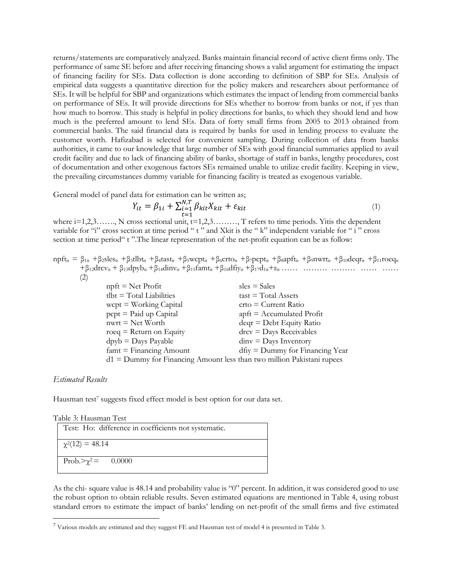returns/statements are comparatively analyzed. Banks maintain financial record of active client firms only. The performance of same SE before and after receiving financing shows a valid argument for estimating the impact of financing facility for SEs. Data collection is done according to definition of SBP for SEs. Analysis of empirical data suggests a quantitative direction for the policy makers and researchers about performance of SEs. It will be helpful for SBP and organizations which estimates the impact of lending from commercial banks on performance of SEs. It will provide directions for SEs whether to borrow from banks or not, if yes than how much to borrow. This study is helpful in policy directions for banks, to which they should lend and how much is the preferred amount to lend SEs. Data of forty small firms from 2005 to 2013 obtained from commercial banks. The said financial data is required by banks for used in lending process to evaluate the customer worth. Hafizabad is selected for convenient sampling. During collection of data from banks authorities, it came to our knowledge that large number of SEs with good financial summaries applied to avail credit facility and due to lack of financing ability of banks, shortage of staff in banks, lengthy procedures, cost of documentation and other exogenous factors SEs remained unable to utilize credit facility. Keeping in view, the prevailing circumstances dummy variable for financing facility is treated as exogenous variable.

General model of panel data for estimation can be written as;

$$
Y_{it} = \beta_{1i} + \sum_{t=1}^{N,T} \beta_{kit} X_{kit} + \varepsilon_{kit}
$$
\n<sup>(1)</sup>

=1 where i=1,2,3……., N cross sectional unit, t=1,2,3………, T refers to time periods. Yitis the dependent variable for "i" cross section at time period " t " and Xkit is the " k" independent variable for " i " cross section at time period "t". The linear representation of the net-profit equation can be as follow:

 $npft_{it} = \beta_{1it} + \beta_{2}sles_{it} + \beta_{3}tlbt_{it} + \beta_{4}tast_{it} + \beta_{5}wcpt_{it} + \beta_{6}crtot_{it} + \beta_{7}pcpt_{it} + \beta_{8}apft_{it} + \beta_{9}nwrt_{it} + \beta_{10}deqr_{it} + \beta_{11}roeq_{it}$  $+\beta_{12}$ drcv<sub>it</sub> +  $\beta_{13}$ dpyb<sub>it</sub> +  $\beta_{14}$ dinv<sub>it</sub> +  $\beta_{15}$ famt<sub>it</sub> +  $\beta_{16}$ dfiy<sub>it</sub> +  $\beta_{17}$ d<sub>1it</sub> +  $\varepsilon_{it}$  …… …… …… …… …… …… (2)

| $n$ pft = Net Profit                                                     | $sles = Sales$                            |
|--------------------------------------------------------------------------|-------------------------------------------|
| $tlbt = Total Liabilities$                                               | $\text{task} = \text{Total Assets}$       |
| wcpt = Working Capital                                                   | $ctto = Current Ratio$                    |
| pcpt = Paid up Capital                                                   | $\text{apft} = \text{Accumulated Profit}$ |
| nwrt = Net Worth                                                         | $deqr = Debt$ Equity Ratio                |
| $roeq = Return on Equity$                                                | $\text{drcv} = \text{Days}$ Receivables   |
| $dpyb =$ Days Payable                                                    | $\text{dim} v = \text{Days}\$ Inventory   |
| $famt = Financing Amount$                                                | $df_{IV} =$ Dummy for Financing Year      |
| $d1 =$ Dummy for Financing Amount less than two million Pakistani rupees |                                           |

#### *Estimated Results*

Hausman test<sup>7</sup> suggests fixed effect model is best option for our data set.

|  |  | Table 3: Hausman Test |  |  |
|--|--|-----------------------|--|--|
|--|--|-----------------------|--|--|

| Test: Ho: difference in coefficients not systematic. |
|------------------------------------------------------|
| $\chi^2(12) = 48.14$                                 |
| Prob. $>\chi^2$ = 0.0000                             |

As the chi- square value is 48.14 and probability value is "0" percent. In addition, it was considered good to use the robust option to obtain reliable results. Seven estimated equations are mentioned in Table 4, using robust standard errors to estimate the impact of banks' lending on net-profit of the small firms and five estimated

<sup>7</sup> Various models are estimated and they suggest FE and Hausman test of model 4 is presented in Table 3.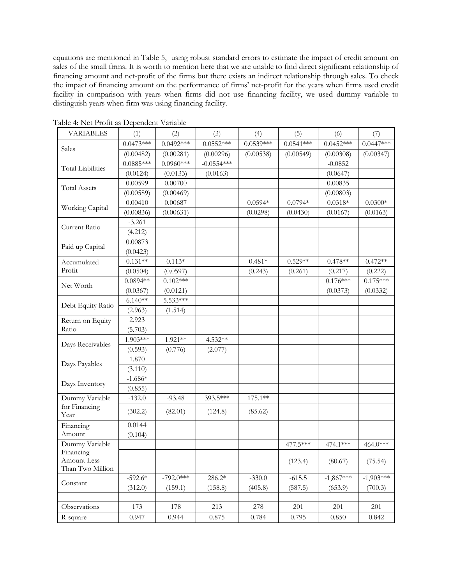equations are mentioned in Table 5, using robust standard errors to estimate the impact of credit amount on sales of the small firms. It is worth to mention here that we are unable to find direct significant relationship of financing amount and net-profit of the firms but there exists an indirect relationship through sales. To check the impact of financing amount on the performance of firms' net-profit for the years when firms used credit facility in comparison with years when firms did not use financing facility, we used dummy variable to distinguish years when firm was using financing facility.

| $0.0473***$<br>$0.0492***$<br>$0.0552***$<br>$0.0539***$<br>$0.0541***$<br>$0.0452***$<br>$0.0447***$<br>Sales<br>(0.00296)<br>(0.00538)<br>(0.00549)<br>(0.00347)<br>(0.00482)<br>(0.00281)<br>(0.00308)<br>$-0.0554***$<br>$0.0885***$<br>$0.0960***$<br>$-0.0852$<br><b>Total Liabilities</b><br>(0.0124)<br>(0.0133)<br>(0.0163)<br>(0.0647)<br>0.00599<br>0.00700<br>0.00835<br><b>Total Assets</b><br>(0.00589)<br>(0.00469)<br>(0.00803)<br>0.00410<br>0.00687<br>$0.0594*$<br>$0.0794*$<br>$0.0318*$<br>$0.0300*$<br>Working Capital<br>(0.00836)<br>(0.00631)<br>(0.0298)<br>(0.0430)<br>(0.0167)<br>(0.0163)<br>$-3.261$<br>Current Ratio<br>(4.212)<br>0.00873<br>Paid up Capital<br>(0.0423)<br>$0.131**$<br>$0.113*$<br>$0.481*$<br>$0.529**$<br>$0.478**$<br>$0.472**$<br>Accumulated<br>Profit<br>(0.0504)<br>(0.0597)<br>(0.243)<br>(0.261)<br>(0.217)<br>(0.222)<br>$0.0894**$<br>$0.102***$<br>$0.176***$<br>$0.175***$<br>Net Worth<br>(0.0367)<br>(0.0121)<br>(0.0332)<br>(0.0373)<br>5.533***<br>$6.140**$<br>Debt Equity Ratio<br>(2.963)<br>(1.514)<br>2.923<br>Return on Equity | <b>VARIABLES</b> | (1) | (2) | (3) | (4) | (5) | (6) | (7) |
|---------------------------------------------------------------------------------------------------------------------------------------------------------------------------------------------------------------------------------------------------------------------------------------------------------------------------------------------------------------------------------------------------------------------------------------------------------------------------------------------------------------------------------------------------------------------------------------------------------------------------------------------------------------------------------------------------------------------------------------------------------------------------------------------------------------------------------------------------------------------------------------------------------------------------------------------------------------------------------------------------------------------------------------------------------------------------------------------------------|------------------|-----|-----|-----|-----|-----|-----|-----|
|                                                                                                                                                                                                                                                                                                                                                                                                                                                                                                                                                                                                                                                                                                                                                                                                                                                                                                                                                                                                                                                                                                         |                  |     |     |     |     |     |     |     |
|                                                                                                                                                                                                                                                                                                                                                                                                                                                                                                                                                                                                                                                                                                                                                                                                                                                                                                                                                                                                                                                                                                         |                  |     |     |     |     |     |     |     |
|                                                                                                                                                                                                                                                                                                                                                                                                                                                                                                                                                                                                                                                                                                                                                                                                                                                                                                                                                                                                                                                                                                         |                  |     |     |     |     |     |     |     |
|                                                                                                                                                                                                                                                                                                                                                                                                                                                                                                                                                                                                                                                                                                                                                                                                                                                                                                                                                                                                                                                                                                         |                  |     |     |     |     |     |     |     |
|                                                                                                                                                                                                                                                                                                                                                                                                                                                                                                                                                                                                                                                                                                                                                                                                                                                                                                                                                                                                                                                                                                         |                  |     |     |     |     |     |     |     |
|                                                                                                                                                                                                                                                                                                                                                                                                                                                                                                                                                                                                                                                                                                                                                                                                                                                                                                                                                                                                                                                                                                         |                  |     |     |     |     |     |     |     |
|                                                                                                                                                                                                                                                                                                                                                                                                                                                                                                                                                                                                                                                                                                                                                                                                                                                                                                                                                                                                                                                                                                         |                  |     |     |     |     |     |     |     |
|                                                                                                                                                                                                                                                                                                                                                                                                                                                                                                                                                                                                                                                                                                                                                                                                                                                                                                                                                                                                                                                                                                         |                  |     |     |     |     |     |     |     |
|                                                                                                                                                                                                                                                                                                                                                                                                                                                                                                                                                                                                                                                                                                                                                                                                                                                                                                                                                                                                                                                                                                         |                  |     |     |     |     |     |     |     |
|                                                                                                                                                                                                                                                                                                                                                                                                                                                                                                                                                                                                                                                                                                                                                                                                                                                                                                                                                                                                                                                                                                         |                  |     |     |     |     |     |     |     |
|                                                                                                                                                                                                                                                                                                                                                                                                                                                                                                                                                                                                                                                                                                                                                                                                                                                                                                                                                                                                                                                                                                         |                  |     |     |     |     |     |     |     |
|                                                                                                                                                                                                                                                                                                                                                                                                                                                                                                                                                                                                                                                                                                                                                                                                                                                                                                                                                                                                                                                                                                         |                  |     |     |     |     |     |     |     |
|                                                                                                                                                                                                                                                                                                                                                                                                                                                                                                                                                                                                                                                                                                                                                                                                                                                                                                                                                                                                                                                                                                         |                  |     |     |     |     |     |     |     |
|                                                                                                                                                                                                                                                                                                                                                                                                                                                                                                                                                                                                                                                                                                                                                                                                                                                                                                                                                                                                                                                                                                         |                  |     |     |     |     |     |     |     |
|                                                                                                                                                                                                                                                                                                                                                                                                                                                                                                                                                                                                                                                                                                                                                                                                                                                                                                                                                                                                                                                                                                         |                  |     |     |     |     |     |     |     |
|                                                                                                                                                                                                                                                                                                                                                                                                                                                                                                                                                                                                                                                                                                                                                                                                                                                                                                                                                                                                                                                                                                         |                  |     |     |     |     |     |     |     |
|                                                                                                                                                                                                                                                                                                                                                                                                                                                                                                                                                                                                                                                                                                                                                                                                                                                                                                                                                                                                                                                                                                         |                  |     |     |     |     |     |     |     |
|                                                                                                                                                                                                                                                                                                                                                                                                                                                                                                                                                                                                                                                                                                                                                                                                                                                                                                                                                                                                                                                                                                         |                  |     |     |     |     |     |     |     |
|                                                                                                                                                                                                                                                                                                                                                                                                                                                                                                                                                                                                                                                                                                                                                                                                                                                                                                                                                                                                                                                                                                         |                  |     |     |     |     |     |     |     |
| Ratio<br>(5.703)                                                                                                                                                                                                                                                                                                                                                                                                                                                                                                                                                                                                                                                                                                                                                                                                                                                                                                                                                                                                                                                                                        |                  |     |     |     |     |     |     |     |
| 1.903***<br>1.921**<br>4.532**<br>Days Receivables                                                                                                                                                                                                                                                                                                                                                                                                                                                                                                                                                                                                                                                                                                                                                                                                                                                                                                                                                                                                                                                      |                  |     |     |     |     |     |     |     |
| (0.593)<br>(0.776)<br>(2.077)                                                                                                                                                                                                                                                                                                                                                                                                                                                                                                                                                                                                                                                                                                                                                                                                                                                                                                                                                                                                                                                                           |                  |     |     |     |     |     |     |     |
| 1.870<br>Days Payables                                                                                                                                                                                                                                                                                                                                                                                                                                                                                                                                                                                                                                                                                                                                                                                                                                                                                                                                                                                                                                                                                  |                  |     |     |     |     |     |     |     |
| (3.110)                                                                                                                                                                                                                                                                                                                                                                                                                                                                                                                                                                                                                                                                                                                                                                                                                                                                                                                                                                                                                                                                                                 |                  |     |     |     |     |     |     |     |
| $-1.686*$<br>Days Inventory                                                                                                                                                                                                                                                                                                                                                                                                                                                                                                                                                                                                                                                                                                                                                                                                                                                                                                                                                                                                                                                                             |                  |     |     |     |     |     |     |     |
| (0.855)                                                                                                                                                                                                                                                                                                                                                                                                                                                                                                                                                                                                                                                                                                                                                                                                                                                                                                                                                                                                                                                                                                 |                  |     |     |     |     |     |     |     |
| $-132.0$<br>393.5***<br>$175.1**$<br>Dummy Variable<br>$-93.48$                                                                                                                                                                                                                                                                                                                                                                                                                                                                                                                                                                                                                                                                                                                                                                                                                                                                                                                                                                                                                                         |                  |     |     |     |     |     |     |     |
| for Financing<br>(82.01)<br>(124.8)<br>(85.62)<br>(302.2)<br>Year                                                                                                                                                                                                                                                                                                                                                                                                                                                                                                                                                                                                                                                                                                                                                                                                                                                                                                                                                                                                                                       |                  |     |     |     |     |     |     |     |
| 0.0144<br>Financing                                                                                                                                                                                                                                                                                                                                                                                                                                                                                                                                                                                                                                                                                                                                                                                                                                                                                                                                                                                                                                                                                     |                  |     |     |     |     |     |     |     |
| Amount<br>(0.104)                                                                                                                                                                                                                                                                                                                                                                                                                                                                                                                                                                                                                                                                                                                                                                                                                                                                                                                                                                                                                                                                                       |                  |     |     |     |     |     |     |     |
| Dummy Variable<br>477.5***<br>464.0***<br>474.1 ***                                                                                                                                                                                                                                                                                                                                                                                                                                                                                                                                                                                                                                                                                                                                                                                                                                                                                                                                                                                                                                                     |                  |     |     |     |     |     |     |     |
| Financing<br>Amount Less<br>(123.4)<br>(80.67)<br>(75.54)<br>Than Two Million                                                                                                                                                                                                                                                                                                                                                                                                                                                                                                                                                                                                                                                                                                                                                                                                                                                                                                                                                                                                                           |                  |     |     |     |     |     |     |     |
| $-792.0***$<br>$-1,867***$<br>$-1,903***$<br>$-592.6*$<br>286.2*<br>$-330.0$<br>$-615.5$                                                                                                                                                                                                                                                                                                                                                                                                                                                                                                                                                                                                                                                                                                                                                                                                                                                                                                                                                                                                                |                  |     |     |     |     |     |     |     |
| Constant<br>(405.8)<br>(587.5)<br>(312.0)<br>(159.1)<br>(158.8)<br>(653.9)<br>(700.3)                                                                                                                                                                                                                                                                                                                                                                                                                                                                                                                                                                                                                                                                                                                                                                                                                                                                                                                                                                                                                   |                  |     |     |     |     |     |     |     |
|                                                                                                                                                                                                                                                                                                                                                                                                                                                                                                                                                                                                                                                                                                                                                                                                                                                                                                                                                                                                                                                                                                         |                  |     |     |     |     |     |     |     |
| Observations<br>173<br>178<br>213<br>278<br>201<br>201<br>201                                                                                                                                                                                                                                                                                                                                                                                                                                                                                                                                                                                                                                                                                                                                                                                                                                                                                                                                                                                                                                           |                  |     |     |     |     |     |     |     |
| 0.947<br>0.944<br>0.875<br>0.784<br>0.795<br>0.850<br>R-square<br>0.842                                                                                                                                                                                                                                                                                                                                                                                                                                                                                                                                                                                                                                                                                                                                                                                                                                                                                                                                                                                                                                 |                  |     |     |     |     |     |     |     |

Table 4: Net Profit as Dependent Variable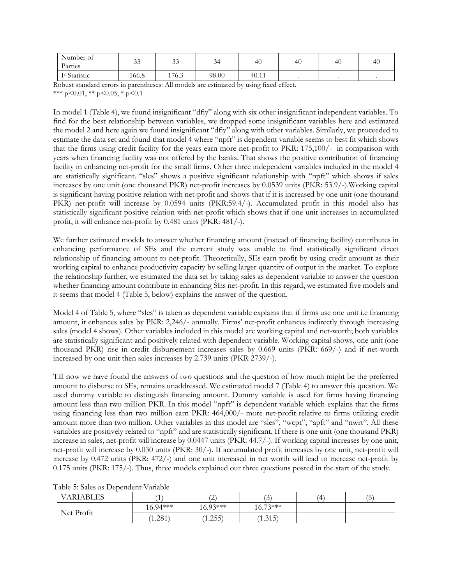| Number of<br>Parties | $\sim$<br>JJ | $\sim$<br>99 | $\sim$<br>◡ | 40    | 40 | 40 | $\Delta$ f |
|----------------------|--------------|--------------|-------------|-------|----|----|------------|
| F-Statistic          | 166.8        | 176.3        | 98.00       | 40.11 |    |    |            |

Robust standard errors in parentheses: All models are estimated by using fixed effect. \*\*\* p<0.01, \*\* p<0.05, \* p<0.1

In model 1 (Table 4), we found insignificant "dfiy" along with six other insignificant independent variables. To find for the best relationship between variables, we dropped some insignificant variables here and estimated the model 2 and here again we found insignificant "dfiy" along with other variables. Similarly, we proceeded to estimate the data set and found that model 4 where "npft" is dependent variable seems to best fit which shows that the firms using credit facility for the years earn more net-profit to PKR: 175,100/- in comparison with years when financing facility was not offered by the banks. That shows the positive contribution of financing facility in enhancing net-profit for the small firms. Other three independent variables included in the model 4 are statistically significant. "sles" shows a positive significant relationship with "npft" which shows if sales increases by one unit (one thousand PKR) net-profit increases by 0.0539 units (PKR: 53.9/-).Working capital is significant having positive relation with net-profit and shows that if it is increased by one unit (one thousand PKR) net-profit will increase by 0.0594 units (PKR:59.4/-). Accumulated profit in this model also has statistically significant positive relation with net-profit which shows that if one unit increases in accumulated profit, it will enhance net-profit by 0.481 units (PKR: 481/-).

We further estimated models to answer whether financing amount (instead of financing facility) contributes in enhancing performance of SEs and the current study was unable to find statistically significant direct relationship of financing amount to net-profit. Theoretically, SEs earn profit by using credit amount as their working capital to enhance productivity capacity by selling larger quantity of output in the market. To explore the relationship further, we estimated the data set by taking sales as dependent variable to answer the question whether financing amount contribute in enhancing SEs net-profit. In this regard, we estimated five models and it seems that model 4 (Table 5, below) explains the answer of the question.

Model 4 of Table 5, where "sles" is taken as dependent variable explains that if firms use one unit i.e financing amount, it enhances sales by PKR: 2,246/- annually. Firms' net-profit enhances indirectly through increasing sales (model 4 shows). Other variables included in this model are working capital and net-worth; both variables are statistically significant and positively related with dependent variable. Working capital shows, one unit (one thousand PKR) rise in credit disbursement increases sales by 0.669 units (PKR: 669/-) and if net-worth increased by one unit then sales increases by 2.739 units (PKR 2739/-).

Till now we have found the answers of two questions and the question of how much might be the preferred amount to disburse to SEs, remains unaddressed. We estimated model 7 (Table 4) to answer this question. We used dummy variable to distinguish financing amount. Dummy variable is used for firms having financing amount less than two million PKR. In this model "npft" is dependent variable which explains that the firms using financing less than two million earn PKR: 464,000/- more net-profit relative to firms utilizing credit amount more than two million. Other variables in this model are "sles", "wcpt", "apft" and "nwrt". All these variables are positively related to "npft" and are statistically significant. If there is one unit (one thousand PKR) increase in sales, net-profit will increase by 0.0447 units (PKR: 44.7/-). If working capital increases by one unit, net-profit will increase by 0.030 units (PKR: 30/-). If accumulated profit increases by one unit, net-profit will increase by 0.472 units (PKR: 472/-) and one unit increased in net worth will lead to increase net-profit by 0.175 units (PKR: 175/-). Thus, three models explained our three questions posted in the start of the study.

| <b>VARIABLES</b> | <b>I</b>   | $\curvearrowright$<br>∸ | $\sqrt{2}$<br>$\overline{\phantom{a}}$ | Ί | $\overline{\phantom{a}}$<br>. 5 ) |
|------------------|------------|-------------------------|----------------------------------------|---|-----------------------------------|
|                  | $16.94***$ | $16.93***$              | $16.73***$                             |   |                                   |
| Net Profit       | 1.281      | (1.255)                 | (1.315)                                |   |                                   |

Table 5: Sales as Dependent Variable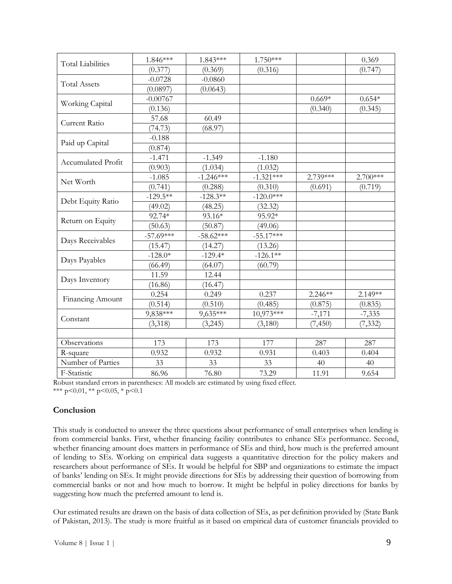| <b>Total Liabilities</b>  | 1.846***    | 1.843***    | 1.750***    |           | 0.369      |
|---------------------------|-------------|-------------|-------------|-----------|------------|
|                           | (0.377)     | (0.369)     | (0.316)     |           | (0.747)    |
|                           | $-0.0728$   | $-0.0860$   |             |           |            |
| <b>Total Assets</b>       | (0.0897)    | (0.0643)    |             |           |            |
|                           | $-0.00767$  |             |             | $0.669*$  | $0.654*$   |
| Working Capital           | (0.136)     |             |             | (0.340)   | (0.345)    |
| Current Ratio             | 57.68       | 60.49       |             |           |            |
|                           | (74.73)     | (68.97)     |             |           |            |
|                           | $-0.188$    |             |             |           |            |
| Paid up Capital           | (0.874)     |             |             |           |            |
| <b>Accumulated Profit</b> | $-1.471$    | $-1.349$    | $-1.180$    |           |            |
|                           | (0.903)     | (1.034)     | (1.032)     |           |            |
| Net Worth                 | $-1.085$    | $-1.246***$ | $-1.321***$ | 2.739***  | $2.700***$ |
|                           | (0.741)     | (0.288)     | (0.310)     | (0.691)   | (0.719)    |
| Debt Equity Ratio         | $-129.5***$ | $-128.3**$  | $-120.0***$ |           |            |
|                           | (49.02)     | (48.25)     | (32.32)     |           |            |
| Return on Equity          | 92.74*      | 93.16*      | 95.92*      |           |            |
|                           | (50.63)     | (50.87)     | (49.06)     |           |            |
| Days Receivables          | $-57.69***$ | $-58.62***$ | $-55.17***$ |           |            |
|                           | (15.47)     | (14.27)     | (13.26)     |           |            |
|                           | $-128.0*$   | $-129.4*$   | $-126.1**$  |           |            |
| Days Payables             | (66.49)     | (64.07)     | (60.79)     |           |            |
| Days Inventory            | 11.59       | 12.44       |             |           |            |
|                           | (16.86)     | (16.47)     |             |           |            |
| Financing Amount          | 0.254       | 0.249       | 0.237       | $2.246**$ | 2.149**    |
|                           | (0.514)     | (0.510)     | (0.485)     | (0.875)   | (0.835)    |
|                           | 9,838***    | 9,635***    | 10,973***   | $-7,171$  | $-7,335$   |
| Constant                  | (3,318)     | (3,245)     | (3,180)     | (7, 450)  | (7, 332)   |
|                           |             |             |             |           |            |
| Observations              | 173         | 173         | 177         | 287       | 287        |
| R-square                  | 0.932       | 0.932       | 0.931       | 0.403     | 0.404      |
| Number of Parties         | 33          | 33          | 33          | 40        | 40         |
| F-Statistic               | 86.96       | 76.80       | 73.29       | 11.91     | 9.654      |
|                           |             |             |             |           |            |

Robust standard errors in parentheses: All models are estimated by using fixed effect. \*\*\*  $p<0.01$ , \*\*  $p<0.05$ , \*  $p<0.1$ 

## **Conclusion**

This study is conducted to answer the three questions about performance of small enterprises when lending is from commercial banks. First, whether financing facility contributes to enhance SEs performance. Second, whether financing amount does matters in performance of SEs and third, how much is the preferred amount of lending to SEs. Working on empirical data suggests a quantitative direction for the policy makers and researchers about performance of SEs. It would be helpful for SBP and organizations to estimate the impact of banks' lending on SEs. It might provide directions for SEs by addressing their question of borrowing from commercial banks or not and how much to borrow. It might be helpful in policy directions for banks by suggesting how much the preferred amount to lend is.

Our estimated results are drawn on the basis of data collection of SEs, as per definition provided by (State Bank of Pakistan, 2013). The study is more fruitful as it based on empirical data of customer financials provided to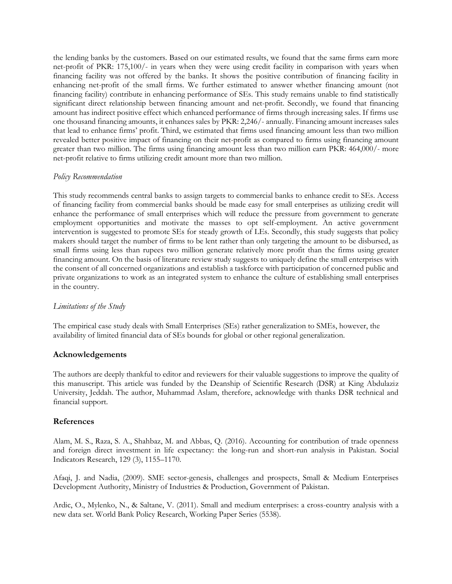the lending banks by the customers. Based on our estimated results, we found that the same firms earn more net-profit of PKR: 175,100/- in years when they were using credit facility in comparison with years when financing facility was not offered by the banks. It shows the positive contribution of financing facility in enhancing net-profit of the small firms. We further estimated to answer whether financing amount (not financing facility) contribute in enhancing performance of SEs. This study remains unable to find statistically significant direct relationship between financing amount and net-profit. Secondly, we found that financing amount has indirect positive effect which enhanced performance of firms through increasing sales. If firms use one thousand financing amounts, it enhances sales by PKR: 2,246/- annually. Financing amount increases sales that lead to enhance firms' profit. Third, we estimated that firms used financing amount less than two million revealed better positive impact of financing on their net-profit as compared to firms using financing amount greater than two million. The firms using financing amount less than two million earn PKR: 464,000/- more net-profit relative to firms utilizing credit amount more than two million.

### *Policy Recommendation*

This study recommends central banks to assign targets to commercial banks to enhance credit to SEs. Access of financing facility from commercial banks should be made easy for small enterprises as utilizing credit will enhance the performance of small enterprises which will reduce the pressure from government to generate employment opportunities and motivate the masses to opt self-employment. An active government intervention is suggested to promote SEs for steady growth of LEs. Secondly, this study suggests that policy makers should target the number of firms to be lent rather than only targeting the amount to be disbursed, as small firms using less than rupees two million generate relatively more profit than the firms using greater financing amount. On the basis of literature review study suggests to uniquely define the small enterprises with the consent of all concerned organizations and establish a taskforce with participation of concerned public and private organizations to work as an integrated system to enhance the culture of establishing small enterprises in the country.

### *Limitations of the Study*

The empirical case study deals with Small Enterprises (SEs) rather generalization to SMEs, however, the availability of limited financial data of SEs bounds for global or other regional generalization.

## **Acknowledgements**

The authors are deeply thankful to editor and reviewers for their valuable suggestions to improve the quality of this manuscript. This article was funded by the Deanship of Scientific Research (DSR) at King Abdulaziz University, Jeddah. The author, Muhammad Aslam, therefore, acknowledge with thanks DSR technical and financial support.

### **References**

Alam, M. S., Raza, S. A., Shahbaz, M. and Abbas, Q. (2016). Accounting for contribution of trade openness and foreign direct investment in life expectancy: the long-run and short-run analysis in Pakistan. Social Indicators Research, 129 (3), 1155–1170.

Afaqi, J. and Nadia, (2009). SME sector-genesis, challenges and prospects, Small & Medium Enterprises Development Authority, Ministry of Industries & Production, Government of Pakistan.

Ardic, O., Mylenko, N., & Saltane, V. (2011). Small and medium enterprises: a cross-country analysis with a new data set. World Bank Policy Research, Working Paper Series (5538).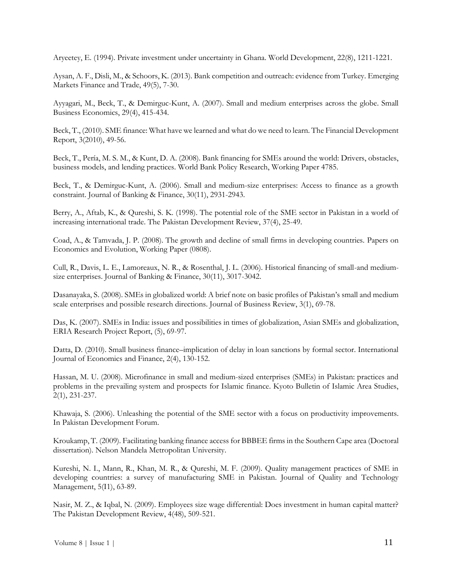Aryeetey, E. (1994). Private investment under uncertainty in Ghana. World Development, 22(8), 1211-1221.

Aysan, A. F., Disli, M., & Schoors, K. (2013). Bank competition and outreach: evidence from Turkey. Emerging Markets Finance and Trade, 49(5), 7-30.

Ayyagari, M., Beck, T., & Demirguc-Kunt, A. (2007). Small and medium enterprises across the globe. Small Business Economics, 29(4), 415-434.

Beck, T., (2010). SME finance: What have we learned and what do we need to learn. The Financial Development Report, 3(2010), 49-56.

Beck, T., Pería, M. S. M., & Kunt, D. A. (2008). Bank financing for SMEs around the world: Drivers, obstacles, business models, and lending practices. World Bank Policy Research, Working Paper 4785.

Beck, T., & Demirguc-Kunt, A. (2006). Small and medium-size enterprises: Access to finance as a growth constraint. Journal of Banking & Finance, 30(11), 2931-2943.

Berry, A., Aftab, K., & Qureshi, S. K. (1998). The potential role of the SME sector in Pakistan in a world of increasing international trade. The Pakistan Development Review, 37(4), 25-49.

Coad, A., & Tamvada, J. P. (2008). The growth and decline of small firms in developing countries. Papers on Economics and Evolution, Working Paper (0808).

Cull, R., Davis, L. E., Lamoreaux, N. R., & Rosenthal, J. L. (2006). Historical financing of small-and mediumsize enterprises. Journal of Banking & Finance, 30(11), 3017-3042.

Dasanayaka, S. (2008). SMEs in globalized world: A brief note on basic profiles of Pakistan's small and medium scale enterprises and possible research directions. Journal of Business Review, 3(1), 69-78.

Das, K. (2007). SMEs in India: issues and possibilities in times of globalization, Asian SMEs and globalization, ERIA Research Project Report, (5), 69-97.

Datta, D. (2010). Small business finance–implication of delay in loan sanctions by formal sector. International Journal of Economics and Finance, 2(4), 130-152.

Hassan, M. U. (2008). Microfinance in small and medium-sized enterprises (SMEs) in Pakistan: practices and problems in the prevailing system and prospects for Islamic finance. Kyoto Bulletin of Islamic Area Studies, 2(1), 231-237.

Khawaja, S. (2006). Unleashing the potential of the SME sector with a focus on productivity improvements. In Pakistan Development Forum.

Kroukamp, T. (2009). Facilitating banking finance access for BBBEE firms in the Southern Cape area (Doctoral dissertation). [Nelson Mandela Metropolitan University.](http://www.nmmu.ac.za/)

Kureshi, N. I., Mann, R., Khan, M. R., & Qureshi, M. F. (2009). Quality management practices of SME in developing countries: a survey of manufacturing SME in Pakistan. Journal of Quality and Technology Management, 5(I1), 63-89.

Nasir, M. Z., & Iqbal, N. (2009). Employees size wage differential: Does investment in human capital matter? The Pakistan Development Review, 4(48), 509-521.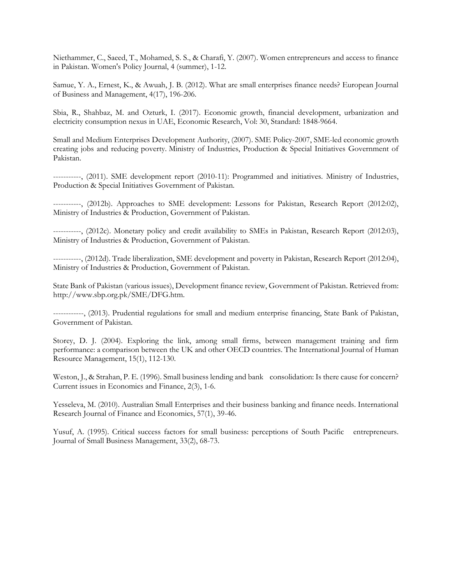Niethammer, C., Saeed, T., Mohamed, S. S., & Charafi, Y. (2007). Women entrepreneurs and access to finance in Pakistan. Women's Policy Journal, 4 (summer), 1-12.

Samue, Y. A., Ernest, K., & Awuah, J. B. (2012). What are small enterprises finance needs? European Journal of Business and Management, 4(17), 196-206.

Sbia, R., Shahbaz, M. and Ozturk, I. (2017). Economic growth, financial development, urbanization and electricity consumption nexus in UAE, Economic Research, Vol: 30, Standard: 1848-9664.

Small and Medium Enterprises Development Authority, (2007). SME Policy-2007, SME-led economic growth creating jobs and reducing poverty. Ministry of Industries, Production & Special Initiatives Government of Pakistan.

-----------, (2011). SME development report (2010-11): Programmed and initiatives. Ministry of Industries, Production & Special Initiatives Government of Pakistan.

-----------, (2012b). Approaches to SME development: Lessons for Pakistan, Research Report (2012:02), Ministry of Industries & Production, Government of Pakistan.

-----------, (2012c). Monetary policy and credit availability to SMEs in Pakistan, Research Report (2012:03), Ministry of Industries & Production, Government of Pakistan.

-----------, (2012d). Trade liberalization, SME development and poverty in Pakistan, Research Report (2012:04), Ministry of Industries & Production, Government of Pakistan.

State Bank of Pakistan (various issues), Development finance review, Government of Pakistan. Retrieved from: http://www.sbp.org.pk/SME/DFG.htm.

------------, (2013). Prudential regulations for small and medium enterprise financing, State Bank of Pakistan, Government of Pakistan.

Storey, D. J. (2004). Exploring the link, among small firms, between management training and firm performance: a comparison between the UK and other OECD countries. The International Journal of Human Resource Management, 15(1), 112-130.

Weston, J., & Strahan, P. E. (1996). Small business lending and bank consolidation: Is there cause for concern? Current issues in Economics and Finance, 2(3), 1-6.

Yesseleva, M. (2010). Australian Small Enterprises and their business banking and finance needs. International Research Journal of Finance and Economics, 57(1), 39-46.

Yusuf, A. (1995). Critical success factors for small business: perceptions of South Pacific entrepreneurs. Journal of Small Business Management, 33(2), 68-73.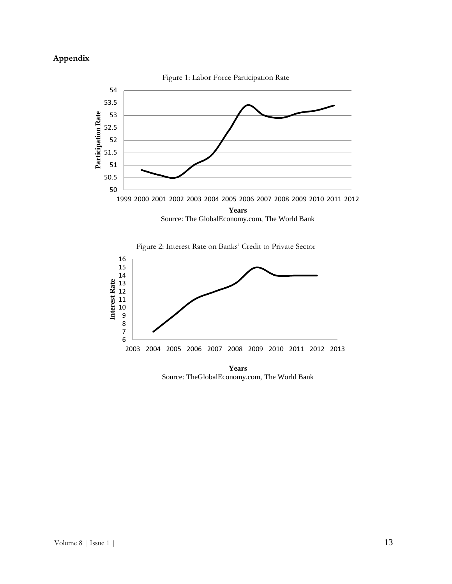# **Appendix**







**Years** Source: TheGlobalEconomy.com, The World Bank